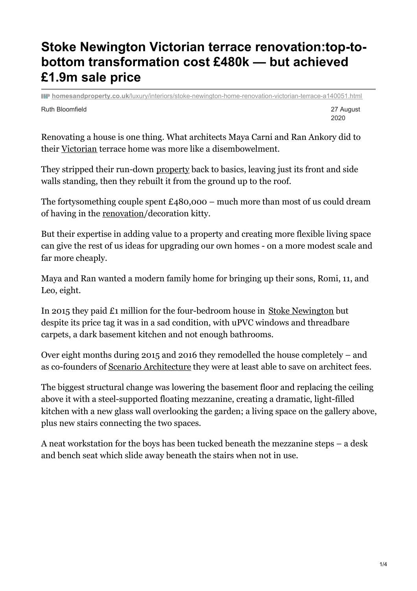# **Stoke Newington Victorian terrace renovation:top-tobottom transformation cost £480k — but achieved £1.9m sale price**

Ruth Bloomfield 27 August **homesandproperty.co.uk**[/luxury/interiors/stoke-newington-home-renovation-victorian-terrace-a140051.html](https://www.homesandproperty.co.uk/luxury/interiors/stoke-newington-home-renovation-victorian-terrace-a140051.html)

2020

Renovating a house is one thing. What architects Maya Carni and Ran Ankory did to their [Victorian](https://www.homesandproperty.co.uk/topic/victorian) terrace home was more like a disembowelment.

They stripped their run-down [property](https://www.homesandproperty.co.uk/topic/property) back to basics, leaving just its front and side walls standing, then they rebuilt it from the ground up to the roof.

The fortysomething couple spent  $£480,000 -$  much more than most of us could dream of having in the [renovation](https://www.homesandproperty.co.uk/topic/renovation)/decoration kitty.

But their expertise in adding value to a property and creating more flexible living space can give the rest of us ideas for upgrading our own homes - on a more modest scale and far more cheaply.

Maya and Ran wanted a modern family home for bringing up their sons, Romi, 11, and Leo, eight.

In 2015 they paid £1 million for the four-bedroom house in Stoke [Newington](https://www.homesandproperty.co.uk/topic/stoke-newington) but despite its price tag it was in a sad condition, with uPVC windows and threadbare carpets, a dark basement kitchen and not enough bathrooms.

Over eight months during 2015 and 2016 they remodelled the house completely – and as co-founders of Scenario [Architecture](https://scenarioarchitecture.com/) they were at least able to save on architect fees.

The biggest structural change was lowering the basement floor and replacing the ceiling above it with a steel-supported floating mezzanine, creating a dramatic, light-filled kitchen with a new glass wall overlooking the garden; a living space on the gallery above, plus new stairs connecting the two spaces.

A neat workstation for the boys has been tucked beneath the mezzanine steps – a desk and bench seat which slide away beneath the stairs when not in use.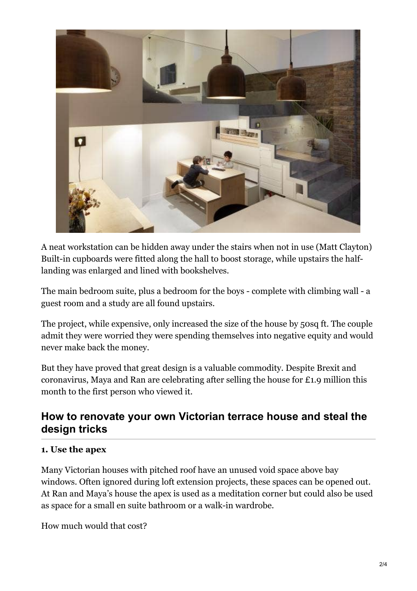

A neat workstation can be hidden away under the stairs when not in use (Matt Clayton) Built-in cupboards were fitted along the hall to boost storage, while upstairs the halflanding was enlarged and lined with bookshelves.

The main bedroom suite, plus a bedroom for the boys - complete with climbing wall - a guest room and a study are all found upstairs.

The project, while expensive, only increased the size of the house by 50sq ft. The couple admit they were worried they were spending themselves into negative equity and would never make back the money.

But they have proved that great design is a valuable commodity. Despite Brexit and coronavirus, Maya and Ran are celebrating after selling the house for £1.9 million this month to the first person who viewed it.

# **How to renovate your own Victorian terrace house and steal the design tricks**

#### **1. Use the apex**

Many Victorian houses with pitched roof have an unused void space above bay windows. Often ignored during loft extension projects, these spaces can be opened out. At Ran and Maya's house the apex is used as a meditation corner but could also be used as space for a small en suite bathroom or a walk-in wardrobe.

How much would that cost?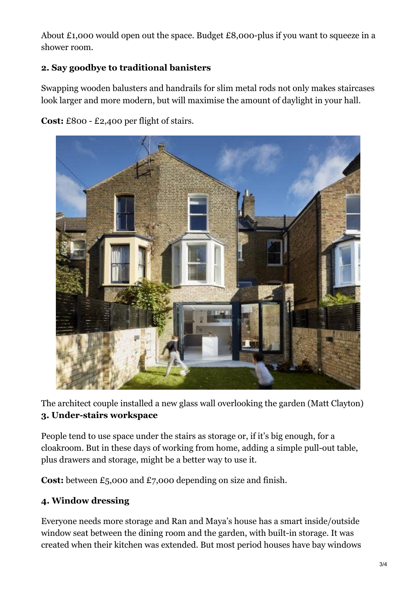About £1,000 would open out the space. Budget £8,000-plus if you want to squeeze in a shower room.

### **2. Say goodbye to traditional banisters**

Swapping wooden balusters and handrails for slim metal rods not only makes staircases look larger and more modern, but will maximise the amount of daylight in your hall.

**Cost:** £800 - £2,400 per flight of stairs.



The architect couple installed a new glass wall overlooking the garden (Matt Clayton) **3. Under-stairs workspace**

People tend to use space under the stairs as storage or, if it's big enough, for a cloakroom. But in these days of working from home, adding a simple pull-out table, plus drawers and storage, might be a better way to use it.

**Cost:** between £5,000 and £7,000 depending on size and finish.

#### **4. Window dressing**

Everyone needs more storage and Ran and Maya's house has a smart inside/outside window seat between the dining room and the garden, with built-in storage. It was created when their kitchen was extended. But most period houses have bay windows